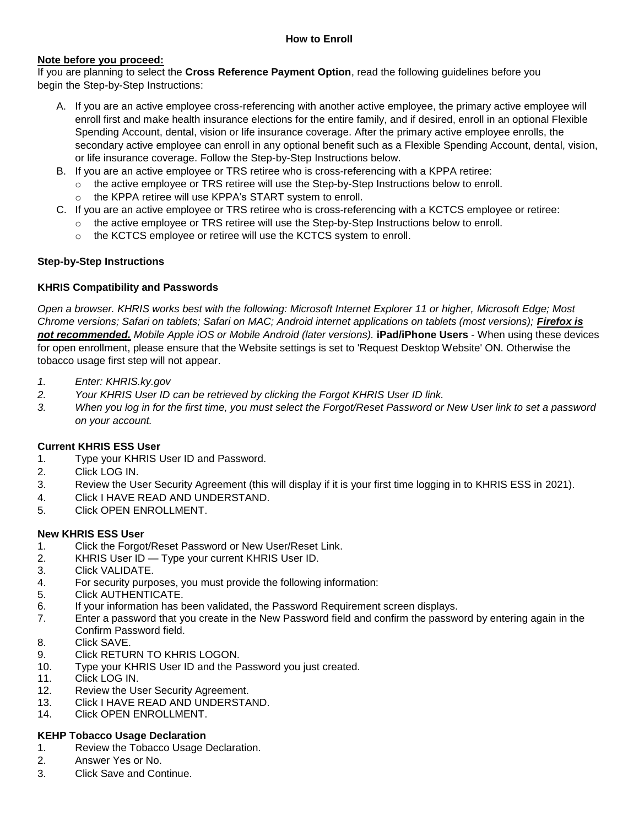#### **Note before you proceed:**

If you are planning to select the **Cross Reference Payment Option**, read the following guidelines before you begin the Step-by-Step Instructions:

- A. If you are an active employee cross-referencing with another active employee, the primary active employee will enroll first and make health insurance elections for the entire family, and if desired, enroll in an optional Flexible Spending Account, dental, vision or life insurance coverage. After the primary active employee enrolls, the secondary active employee can enroll in any optional benefit such as a Flexible Spending Account, dental, vision, or life insurance coverage. Follow the Step-by-Step Instructions below.
- B. If you are an active employee or TRS retiree who is cross-referencing with a KPPA retiree:
	- o the active employee or TRS retiree will use the Step-by-Step Instructions below to enroll.
	- o the KPPA retiree will use KPPA's START system to enroll.
- C. If you are an active employee or TRS retiree who is cross-referencing with a KCTCS employee or retiree:
	- o the active employee or TRS retiree will use the Step-by-Step Instructions below to enroll.
	- o the KCTCS employee or retiree will use the KCTCS system to enroll.

## **Step-by-Step Instructions**

## **KHRIS Compatibility and Passwords**

*Open a browser. KHRIS works best with the following: Microsoft Internet Explorer 11 or higher, Microsoft Edge; Most Chrome versions; Safari on tablets; Safari on MAC; Android internet applications on tablets (most versions); Firefox is not recommended. Mobile Apple iOS or Mobile Android (later versions).* **iPad/iPhone Users** - When using these devices for open enrollment, please ensure that the Website settings is set to 'Request Desktop Website' ON. Otherwise the tobacco usage first step will not appear.

- *1. Enter: KHRIS.ky.gov*
- *2. Your KHRIS User ID can be retrieved by clicking the Forgot KHRIS User ID link.*
- *3. When you log in for the first time, you must select the Forgot/Reset Password or New User link to set a password on your account.*

#### **Current KHRIS ESS User**

- 1. Type your KHRIS User ID and Password.
- 2. Click LOG IN.
- 3. Review the User Security Agreement (this will display if it is your first time logging in to KHRIS ESS in 2021).
- 4. Click I HAVE READ AND UNDERSTAND.
- 5. Click OPEN ENROLLMENT.

#### **New KHRIS ESS User**

- 1. Click the Forgot/Reset Password or New User/Reset Link.
- 2. KHRIS User ID Type your current KHRIS User ID.
- 3. Click VALIDATE.
- 4. For security purposes, you must provide the following information:
- 5. Click AUTHENTICATE.
- 6. If your information has been validated, the Password Requirement screen displays.
- 7. Enter a password that you create in the New Password field and confirm the password by entering again in the Confirm Password field.
- 8. Click SAVE.
- 9. Click RETURN TO KHRIS LOGON.
- 10. Type your KHRIS User ID and the Password you just created.
- 11. Click LOG IN.
- 12. Review the User Security Agreement.
- 13. Click I HAVE READ AND UNDERSTAND.
- 14. Click OPEN ENROLLMENT.

# **KEHP Tobacco Usage Declaration**

- 1. Review the Tobacco Usage Declaration.
- 2. Answer Yes or No.
- 3. Click Save and Continue.